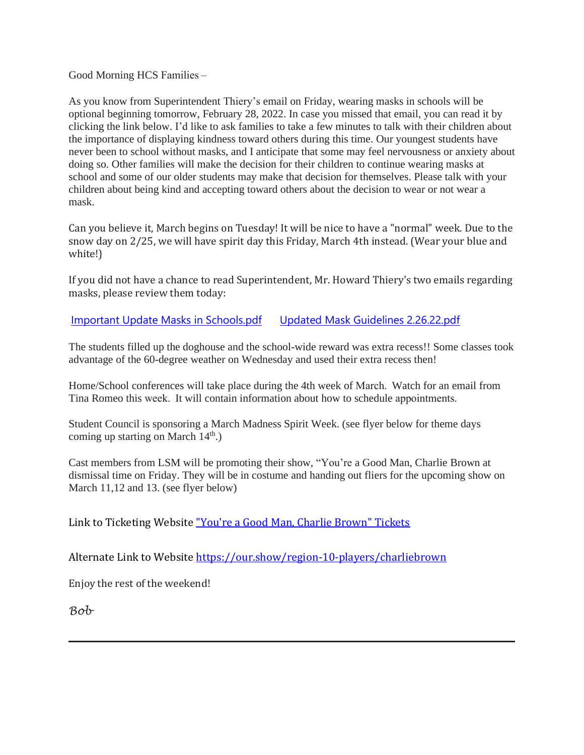Good Morning HCS Families –  

As you know from Superintendent Thiery's email on Friday, wearing masks in schools will be optional beginning tomorrow, February 28, 2022. In case you missed that email, you can read it by clicking the link below. I'd like to ask families to take a few minutes to talk with their children about the importance of displaying kindness toward others during this time. Our youngest students have never been to school without masks, and I anticipate that some may feel nervousness or anxiety about doing so. Other families will make the decision for their children to continue wearing masks at school and some of our older students may make that decision for themselves. Please talk with your children about being kind and accepting toward others about the decision to wear or not wear a mask.

Can you believe it, March begins on Tuesday! It will be nice to have a "normal" week. Due to the snow day on 2/25, we will have spirit day this Friday, March 4th instead. (Wear your blue and white!)

If you did not have a chance to read Superintendent, Mr. Howard Thiery's two emails regarding masks, please review them today:

Important Update Masks in [Schools.pdf](http://track.spe.schoolmessenger.com/f/a/a0oO2AaaoVPMzicoqMA-Nw~~/AAAAAQA~/RgRj_JtIP0R1aHR0cHM6Ly9tc2cuc2Nob29sbWVzc2VuZ2VyLmNvbS9tLz9zPXRxTlRWT2Y5b3FBJm1hbD02ZGM1MDgyNjkxZGQ1ZGU5YTJlY2U3MmU5MDJmZmI1OTUxMTE0YTJiODg3MTg5MjFiMjY1ODZiYTE4ODlkMDJiVwdzY2hvb2xtQgpiFshnG2JB4SdtUhliYWxsZXJpbmlhQHJlZ2lvbjEwY3Qub3JnWAQAAAAB) Updated Mask Guidelines [2.26.22.pdf](http://track.spe.schoolmessenger.com/f/a/oDo0gI70OQAMvx-VaKjJww~~/AAAAAQA~/RgRj_JtIP0R1aHR0cHM6Ly9tc2cuc2Nob29sbWVzc2VuZ2VyLmNvbS9tLz9zPXRxTlRWT2Y5b3FBJm1hbD1jMDcyOWNkYTU1OWU4YWU4OWZkNzY5MTI4OTFiMWQwYWY0YTQ0YTJkNWQzODdkMmQ2MDJlNmUxMmQ0Y2I4Njc3VwdzY2hvb2xtQgpiFshnG2JB4SdtUhliYWxsZXJpbmlhQHJlZ2lvbjEwY3Qub3JnWAQAAAAB)

The students filled up the doghouse and the school-wide reward was extra recess!! Some classes took advantage of the 60-degree weather on Wednesday and used their extra recess then!

Home/School conferences will take place during the 4th week of March.  Watch for an email from Tina Romeo this week.  It will contain information about how to schedule appointments. 

Student Council is sponsoring a March Madness Spirit Week. (see flyer below for theme days coming up starting on March  $14<sup>th</sup>$ .)

Cast members from LSM will be promoting their show, "You're a Good Man, Charlie Brown at dismissal time on Friday. They will be in costume and handing out fliers for the upcoming show on March 11,12 and 13. (see flyer below)

Link to Ticketing Website "You're a Good Man, Charlie [Brown"](http://track.spe.schoolmessenger.com/f/a/SQRSzOvj5WxYbTt2FdQzpg~~/AAAAAQA~/RgRj_JtIP0QvaHR0cHM6Ly9vdXIuc2hvdy9yZWdpb24tMTAtcGxheWVycy9jaGFybGllYnJvd25XB3NjaG9vbG1CCmIWyGcbYkHhJ21SGWJhbGxlcmluaWFAcmVnaW9uMTBjdC5vcmdYBAAAAAE~) Tickets

Alternate Link to Website [https://our.show/region-10-players/charliebrown](http://track.spe.schoolmessenger.com/f/a/SQRSzOvj5WxYbTt2FdQzpg~~/AAAAAQA~/RgRj_JtIP0QvaHR0cHM6Ly9vdXIuc2hvdy9yZWdpb24tMTAtcGxheWVycy9jaGFybGllYnJvd25XB3NjaG9vbG1CCmIWyGcbYkHhJ21SGWJhbGxlcmluaWFAcmVnaW9uMTBjdC5vcmdYBAAAAAE~)

Enjoy the rest of the weekend!

*Bob*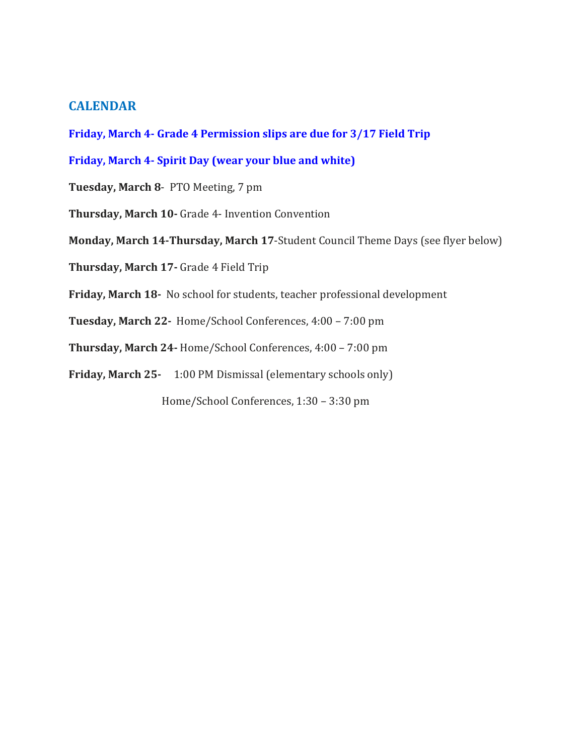# **CALENDAR**

**Friday, March 4- Grade 4 Permission slips are due for 3/17 Field Trip**

**Friday, March 4- Spirit Day (wear your blue and white)**

**Tuesday, March 8**- PTO Meeting, 7 pm

**Thursday, March 10-** Grade 4- Invention Convention

**Monday, March 14-Thursday, March 17**-Student Council Theme Days (see flyer below)

**Thursday, March 17-** Grade 4 Field Trip

**Friday, March 18-** No school for students, teacher professional development

**Tuesday, March 22-** Home/School Conferences, 4:00 – 7:00 pm

**Thursday, March 24-** Home/School Conferences, 4:00 – 7:00 pm

**Friday, March 25-** 1:00 PM Dismissal (elementary schools only)

Home/School Conferences, 1:30 – 3:30 pm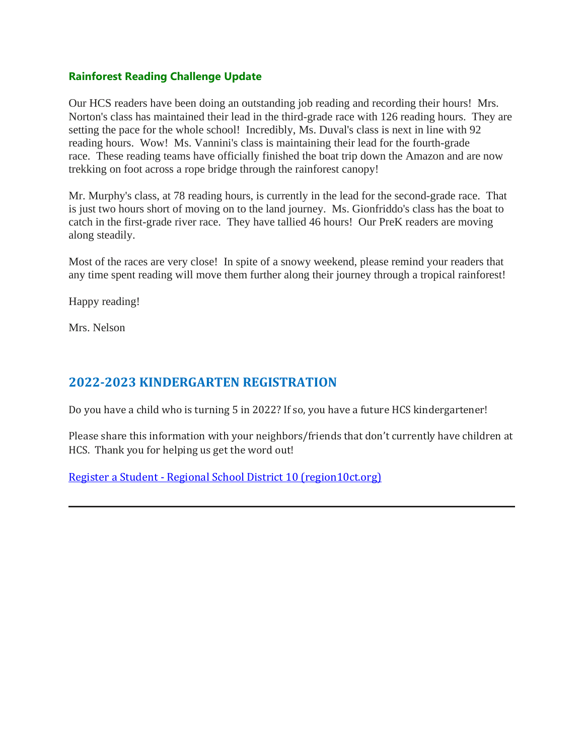## **Rainforest Reading Challenge Update**

Our HCS readers have been doing an outstanding job reading and recording their hours! Mrs. Norton's class has maintained their lead in the third-grade race with 126 reading hours. They are setting the pace for the whole school! Incredibly, Ms. Duval's class is next in line with 92 reading hours. Wow! Ms. Vannini's class is maintaining their lead for the fourth-grade race. These reading teams have officially finished the boat trip down the Amazon and are now trekking on foot across a rope bridge through the rainforest canopy!

Mr. Murphy's class, at 78 reading hours, is currently in the lead for the second-grade race. That is just two hours short of moving on to the land journey. Ms. Gionfriddo's class has the boat to catch in the first-grade river race. They have tallied 46 hours! Our PreK readers are moving along steadily.

Most of the races are very close! In spite of a snowy weekend, please remind your readers that any time spent reading will move them further along their journey through a tropical rainforest!

Happy reading!

Mrs. Nelson

# **2022-2023 KINDERGARTEN REGISTRATION**

Do you have a child who is turning 5 in 2022? If so, you have a future HCS kindergartener!

Please share this information with your neighbors/friends that don't currently have children at HCS.  Thank you for helping us get the word out!

Register a Student - Regional School District 10 [\(region10ct.org\)](http://track.spe.schoolmessenger.com/f/a/E6mp1CUUeGU_ustqM94qcQ~~/AAAAAQA~/RgRj_JtIP4TDAWh0dHA6Ly90cmFjay5zcGUuc2Nob29sbWVzc2VuZ2VyLmNvbS9mL2EvbXVYcjRVOUREYUI2T21wcDd3dndJZ35-L0FBQUFBUUF-L1JnUmo4MkRRUDBUZmFIUjBjSE02THk5c2FXNXJjSEp2ZEdWamRDNWpkV1JoYzNaakxtTnZiUzkxY213X1lUMW9kSFJ3Y3lVellTVXlaaVV5Wm5kM2R5NXlaV2RwYjI0eE1HTjBMbTl5WnlVeVpsQmhjbVZ1ZEhNbE1tWnlaV2RwYzNSbGNsOWhYM04wZFdSbGJuUW1ZejFGTERFc1FtNVhMVlJ1VUhOb2Nsa3hlVEJFZFY5QmNsbGZOazFpVjNRdFVubHhRMGxFUVVnNFZYSTBPRGhGTm1GcWRtWlhNa1ZwT1RGRmNVZFNVelZhWDNGRGVIWlVhbUV0TVVGTVJuSnVWRGhTVlV0NFVGTnBYM1JqWjNONVQwNVBNMlY0YWxOUGFsQTRTMk5LWnl3c0puUjVjRzg5TVZjSGMyTm9iMjlzYlVJS1lnVlFMUkppTEQ2enVWSVZjbTl0Wlc5MFFISmxaMmx2YmpFd1kzUXViM0puV0FRQUFBQUJXB3NjaG9vbG1CCmIWyGcbYkHhJ21SGWJhbGxlcmluaWFAcmVnaW9uMTBjdC5vcmdYBAAAAAE~)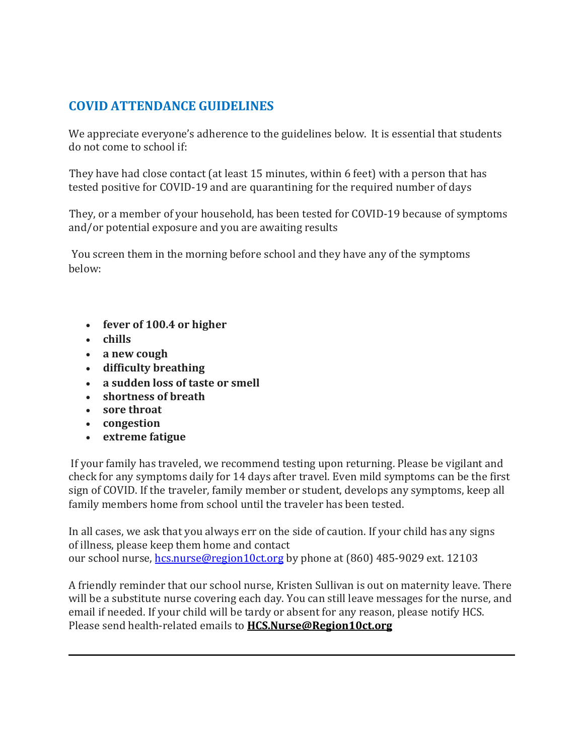# **COVID ATTENDANCE GUIDELINES**

We appreciate everyone's adherence to the guidelines below.  It is essential that students do not come to school if:     

 They have had close contact (at least 15 minutes, within 6 feet) with a person that has tested positive for COVID-19 and are quarantining for the required number of days     

 They, or a member of your household, has been tested for COVID-19 because of symptoms and/or potential exposure and you are awaiting results     

 You screen them in the morning before school and they have any of the symptoms below:      

- **fever of 100.4 or higher**
- **chills**
- **a new cough**
- **difficulty breathing**
- **a sudden loss of taste or smell**
- **shortness of breath**
- **sore throat**
- **congestion**
- **extreme fatigue**

 If your family has traveled, we recommend testing upon returning. Please be vigilant and check for any symptoms daily for 14 days after travel. Even mild symptoms can be the first sign of COVID. If the traveler, family member or student, develops any symptoms, keep all family members home from school until the traveler has been tested.     

In all cases, we ask that you always err on the side of caution. If your child has any signs of illness, please keep them home and contact our school nurse, [hcs.nurse@region10ct.org](mailto:hcs.nurse@region10ct.org) by phone at (860) 485-9029 ext. 12103

A friendly reminder that our school nurse, Kristen Sullivan is out on maternity leave. There will be a substitute nurse covering each day. You can still leave messages for the nurse, and email if needed. If your child will be tardy or absent for any reason, please notify HCS. Please send health-related emails to **[HCS.Nurse@Region10ct.org](mailto:HCS.Nurse@Region10ct.org)**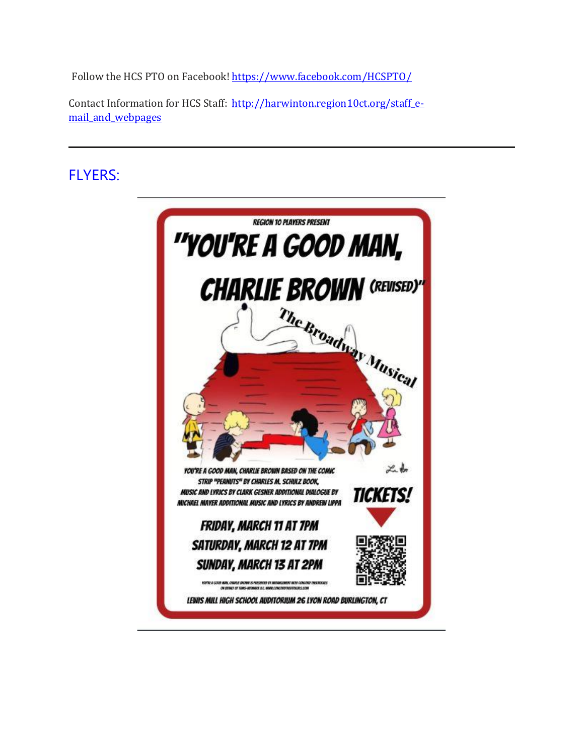Follow the HCS PTO on Facebook! [https://www.facebook.com/HCSPTO/](http://track.spe.schoolmessenger.com/f/a/UdemrReffKg_ZHuO22JHqw~~/AAAAAQA~/RgRj_JtIP0THaHR0cDovL3RyYWNrLnNwZS5zY2hvb2xtZXNzZW5nZXIuY29tL2YvYS9DSnptUnc3MDVxMEhieG16ZU43eUNnfn4vQUFBQUFRQX4vUmdSaUFRblFQMFFnYUhSMGNITTZMeTkzZDNjdVptRmpaV0p2YjJzdVkyOXRMMGhEVTFCVVR5OVhCM05qYUc5dmJHMUNDbUFhVU5ZZllNaGs3RFZTRm0xaGVucGxhVzFBY21WbmFXOXVNVEJqZEM1dmNtZFlCQUFBQUFFflcHc2Nob29sbUIKYhbIZxtiQeEnbVIZYmFsbGVyaW5pYUByZWdpb24xMGN0Lm9yZ1gEAAAAAQ~~)   

Contact Information for HCS Staff: [http://harwinton.region10ct.org/staff\\_e](http://track.spe.schoolmessenger.com/f/a/IvXkeYRk93u5RlBQ8ZHhlg~~/AAAAAQA~/RgRj_JtIP0TnaHR0cDovL3RyYWNrLnNwZS5zY2hvb2xtZXNzZW5nZXIuY29tL2YvYS83M1NBR0ZLVnR2SmtPVVpFdDJfaldnfn4vQUFBQUFRQX4vUmdSaUFRblFQMFE1YUhSMGNEb3ZMMmhoY25kcGJuUnZiaTV5WldkcGIyNHhNR04wTG05eVp5OXpkR0ZtWmw5bExXMWhhV3hmWVc1a1gzZGxZbkJoWjJWelZ3ZHpZMmh2YjJ4dFFncGdHbERXSDJESVpPdzFVaFp0WVhwNlpXbHRRSEpsWjJsdmJqRXdZM1F1YjNKbldBUUFBQUFCVwdzY2hvb2xtQgpiFshnG2JB4SdtUhliYWxsZXJpbmlhQHJlZ2lvbjEwY3Qub3JnWAQAAAAB)mail and webpages

# FLYERS:

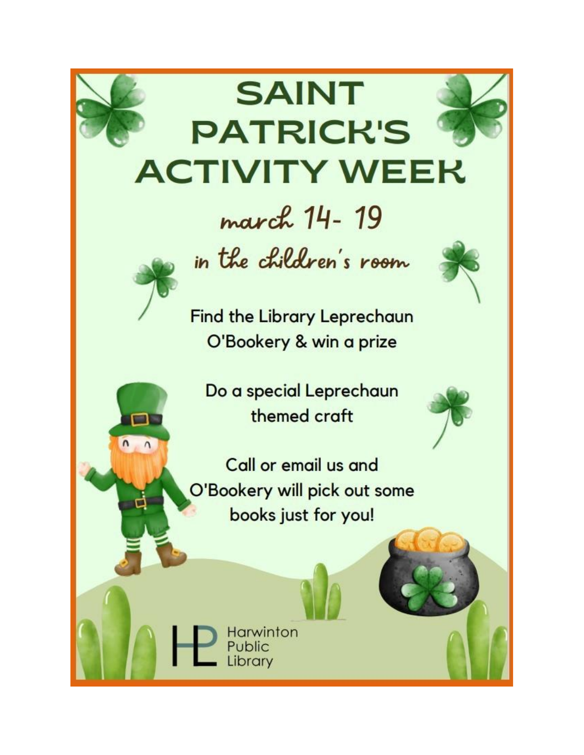

# **SAINT PATRICK'S ACTIVITY WEEK**

# march 14-19



 $\Box$ 

 $n, n$ 

in the children's room

**Find the Library Leprechaun** O'Bookery & win a prize

Do a special Leprechaun themed craft



Call or email us and O'Bookery will pick out some books just for you!

> Harwinton Public Library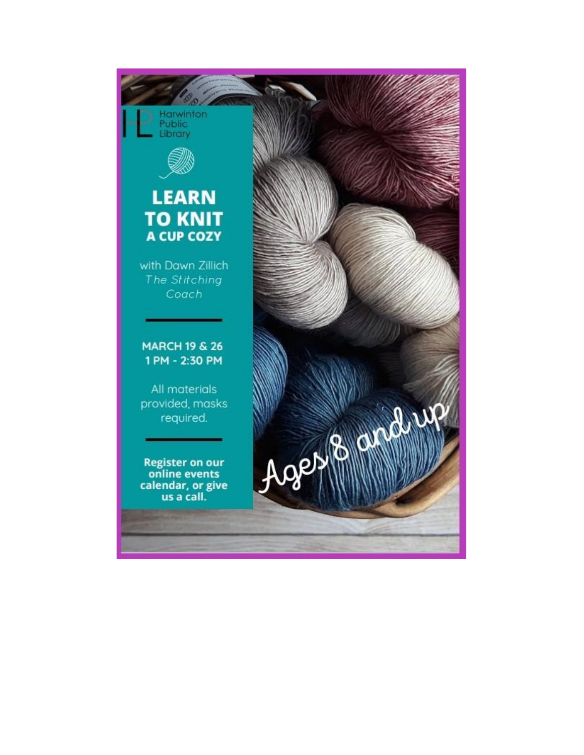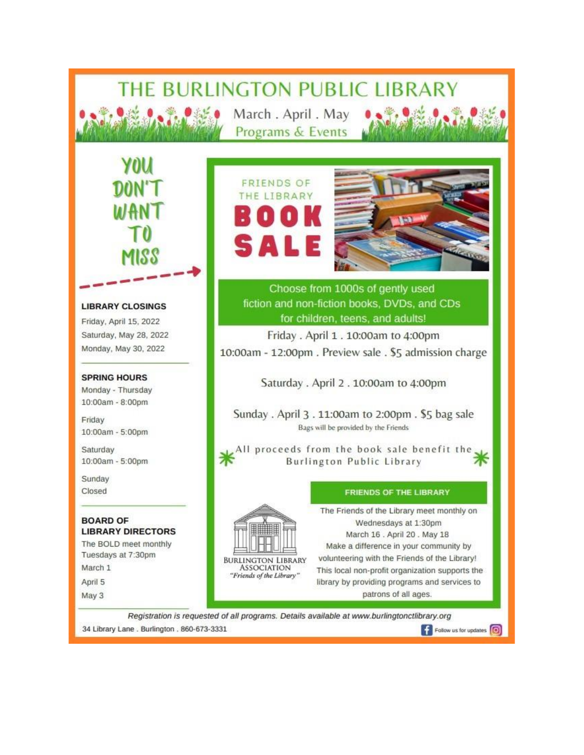# THE BURLINGTON PUBLIC LIBRARY

March. April. May Programs & Events

**FRIENDS OF** THE LIBRARY

5 A I



Choose from 1000s of gently used fiction and non-fiction books, DVDs, and CDs for children, teens, and adults!

Friday . April 1 . 10:00am to 4:00pm 10:00am - 12:00pm. Preview sale . \$5 admission charge

Saturday . April 2 . 10:00am to 4:00pm

Sunday . April 3 . 11:00am to 2:00pm . \$5 bag sale Bags will be provided by the Friends

All proceeds from the book sale benefit the **Burlington Public Library** 

#### **FRIENDS OF THE LIBRARY**

The Friends of the Library meet monthly on Wednesdays at 1:30pm March 16 . April 20 . May 18 Make a difference in your community by volunteering with the Friends of the Library! This local non-profit organization supports the library by providing programs and services to patrons of all ages.

Registration is requested of all programs. Details available at www.burlingtonctlibrary.org 34 Library Lane . Burlington . 860-673-3331 Follow us for updates (O)

**BURLINGTON LIBRARY** 

**ASSOCIATION** 

"Friends of the Library"

**LIBRARY CLOSINGS** 

Friday, April 15, 2022 Saturday, May 28, 2022 Monday, May 30, 2022

#### **SPRING HOURS**

Monday - Thursday 10:00am - 8:00pm

Friday 10:00am - 5:00pm

Saturday 10:00am - 5:00pm

Sunday Closed

#### **BOARD OF LIBRARY DIRECTORS**

The BOLD meet monthly Tuesdays at 7:30pm March 1 April 5 May 3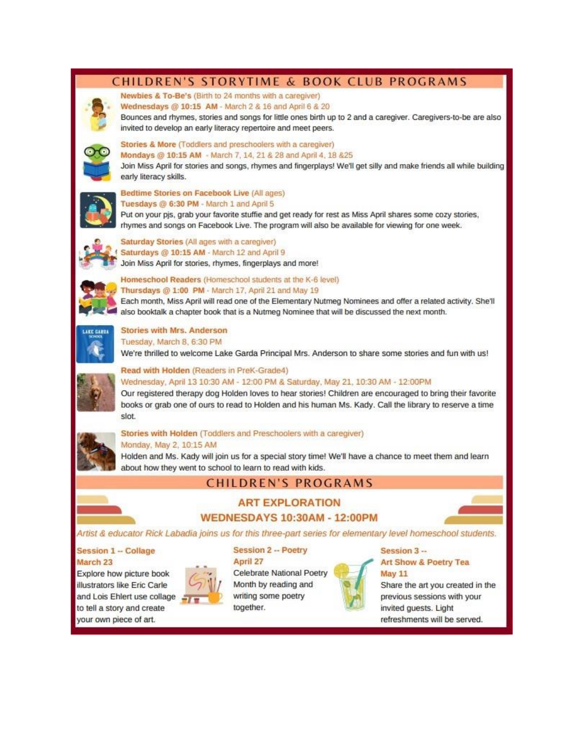## CHILDREN'S STORYTIME & BOOK CLUB PROGRAMS



# Newbies & To-Be's (Birth to 24 months with a caregiver)

Wednesdays @ 10:15 AM - March 2 & 16 and April 6 & 20

Bounces and rhymes, stories and songs for little ones birth up to 2 and a caregiver. Caregivers-to-be are also invited to develop an early literacy repertoire and meet peers.



### Stories & More (Toddlers and preschoolers with a caregiver)

Mondays @ 10:15 AM - March 7, 14, 21 & 28 and April 4, 18 & 25

Join Miss April for stories and songs, rhymes and fingerplays! We'll get silly and make friends all while building early literacy skills.



#### Bedtime Stories on Facebook Live (All ages) Tuesdays @ 6:30 PM - March 1 and April 5

Put on your pis, grab your favorite stuffie and get ready for rest as Miss April shares some cozy stories, rhymes and songs on Facebook Live. The program will also be available for viewing for one week.



Saturday Stories (All ages with a caregiver) Saturdays @ 10:15 AM - March 12 and April 9 Join Miss April for stories, rhymes, fingerplays and more!



Homeschool Readers (Homeschool students at the K-6 level) Thursdays @ 1:00 PM - March 17, April 21 and May 19

Each month, Miss April will read one of the Elementary Nutmeg Nominees and offer a related activity. She'll also booktalk a chapter book that is a Nutmeg Nominee that will be discussed the next month.



#### **Stories with Mrs. Anderson** Tuesday, March 8, 6:30 PM

We're thrilled to welcome Lake Garda Principal Mrs. Anderson to share some stories and fun with us!

#### Read with Holden (Readers in PreK-Grade4) Wednesday, April 13 10:30 AM - 12:00 PM & Saturday, May 21, 10:30 AM - 12:00PM

Our registered therapy dog Holden loves to hear stories! Children are encouraged to bring their favorite books or grab one of ours to read to Holden and his human Ms. Kady. Call the library to reserve a time slot.



#### Stories with Holden (Toddlers and Preschoolers with a caregiver) Monday, May 2, 10:15 AM

Holden and Ms. Kady will join us for a special story time! We'll have a chance to meet them and learn about how they went to school to learn to read with kids.

# **CHILDREN'S PROGRAMS**

## **ART EXPLORATION WEDNESDAYS 10:30AM - 12:00PM**



Artist & educator Rick Labadia joins us for this three-part series for elementary level homeschool students.

## **Session 1 - Collage**

March 23 Explore how picture book illustrators like Eric Carle and Lois Ehlert use collage to tell a story and create your own piece of art.



#### **Session 2 -- Poetry** April 27

Celebrate National Poetry Month by reading and writing some poetry together.



#### Session 3 --Art Show & Poetry Tea **May 11**

Share the art you created in the previous sessions with your invited guests. Light refreshments will be served.